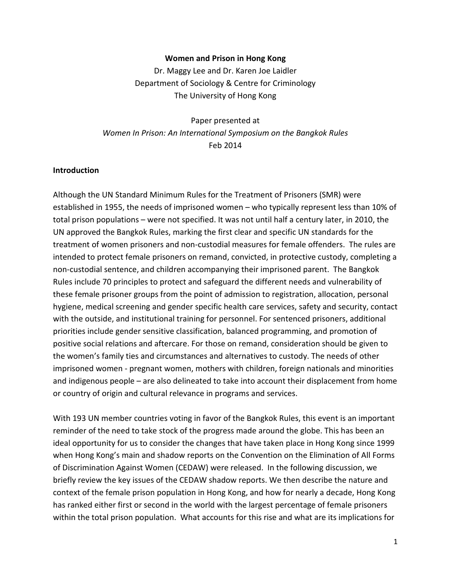#### Women and Prison in Hong Kong

Dr. Maggy Lee and Dr. Karen Joe Laidler Department of Sociology & Centre for Criminology The University of Hong Kong

Paper presented at Women In Prison: An International Symposium on the Bangkok Rules Feb 2014

### Introduction

Although the UN Standard Minimum Rules for the Treatment of Prisoners (SMR) were established in 1955, the needs of imprisoned women – who typically represent less than 10% of total prison populations – were not specified. It was not until half a century later, in 2010, the UN approved the Bangkok Rules, marking the first clear and specific UN standards for the treatment of women prisoners and non-custodial measures for female offenders. The rules are intended to protect female prisoners on remand, convicted, in protective custody, completing a non-custodial sentence, and children accompanying their imprisoned parent. The Bangkok Rules include 70 principles to protect and safeguard the different needs and vulnerability of these female prisoner groups from the point of admission to registration, allocation, personal hygiene, medical screening and gender specific health care services, safety and security, contact with the outside, and institutional training for personnel. For sentenced prisoners, additional priorities include gender sensitive classification, balanced programming, and promotion of positive social relations and aftercare. For those on remand, consideration should be given to the women's family ties and circumstances and alternatives to custody. The needs of other imprisoned women - pregnant women, mothers with children, foreign nationals and minorities and indigenous people – are also delineated to take into account their displacement from home or country of origin and cultural relevance in programs and services.

With 193 UN member countries voting in favor of the Bangkok Rules, this event is an important reminder of the need to take stock of the progress made around the globe. This has been an ideal opportunity for us to consider the changes that have taken place in Hong Kong since 1999 when Hong Kong's main and shadow reports on the Convention on the Elimination of All Forms of Discrimination Against Women (CEDAW) were released. In the following discussion, we briefly review the key issues of the CEDAW shadow reports. We then describe the nature and context of the female prison population in Hong Kong, and how for nearly a decade, Hong Kong has ranked either first or second in the world with the largest percentage of female prisoners within the total prison population. What accounts for this rise and what are its implications for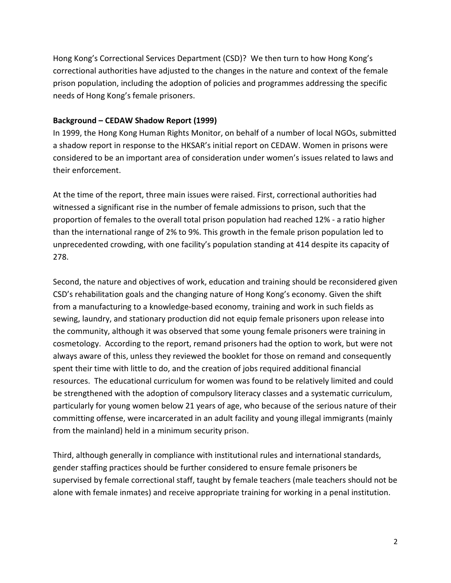Hong Kong's Correctional Services Department (CSD)? We then turn to how Hong Kong's correctional authorities have adjusted to the changes in the nature and context of the female prison population, including the adoption of policies and programmes addressing the specific needs of Hong Kong's female prisoners.

## Background – CEDAW Shadow Report (1999)

In 1999, the Hong Kong Human Rights Monitor, on behalf of a number of local NGOs, submitted a shadow report in response to the HKSAR's initial report on CEDAW. Women in prisons were considered to be an important area of consideration under women's issues related to laws and their enforcement.

At the time of the report, three main issues were raised. First, correctional authorities had witnessed a significant rise in the number of female admissions to prison, such that the proportion of females to the overall total prison population had reached 12% - a ratio higher than the international range of 2% to 9%. This growth in the female prison population led to unprecedented crowding, with one facility's population standing at 414 despite its capacity of 278.

Second, the nature and objectives of work, education and training should be reconsidered given CSD's rehabilitation goals and the changing nature of Hong Kong's economy. Given the shift from a manufacturing to a knowledge-based economy, training and work in such fields as sewing, laundry, and stationary production did not equip female prisoners upon release into the community, although it was observed that some young female prisoners were training in cosmetology. According to the report, remand prisoners had the option to work, but were not always aware of this, unless they reviewed the booklet for those on remand and consequently spent their time with little to do, and the creation of jobs required additional financial resources. The educational curriculum for women was found to be relatively limited and could be strengthened with the adoption of compulsory literacy classes and a systematic curriculum, particularly for young women below 21 years of age, who because of the serious nature of their committing offense, were incarcerated in an adult facility and young illegal immigrants (mainly from the mainland) held in a minimum security prison.

Third, although generally in compliance with institutional rules and international standards, gender staffing practices should be further considered to ensure female prisoners be supervised by female correctional staff, taught by female teachers (male teachers should not be alone with female inmates) and receive appropriate training for working in a penal institution.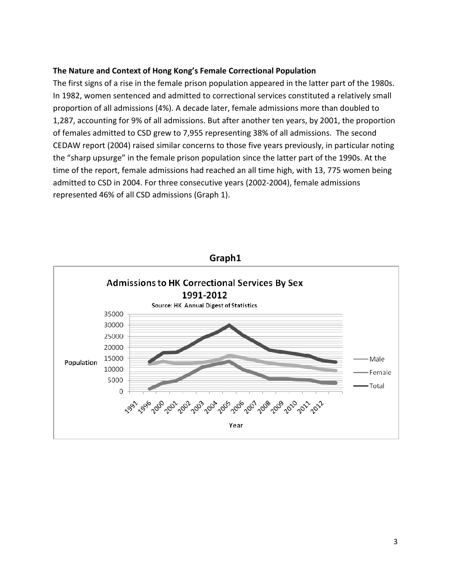## The Nature and Context of Hong Kong's Female Correctional Population

The first signs of a rise in the female prison population appeared in the latter part of the 1980s. In 1982, women sentenced and admitted to correctional services constituted a relatively small proportion of all admissions (4%). A decade later, female admissions more than doubled to 1,287, accounting for 9% of all admissions. But after another ten years, by 2001, the proportion of females admitted to CSD grew to 7,955 representing 38% of all admissions. The second CEDAW report (2004) raised similar concerns to those five years previously, in particular noting the "sharp upsurge" in the female prison population since the latter part of the 1990s. At the time of the report, female admissions had reached an all time high, with 13, 775 women being admitted to CSD in 2004. For three consecutive years (2002-2004), female admissions represented 46% of all CSD admissions (Graph 1).



Graph1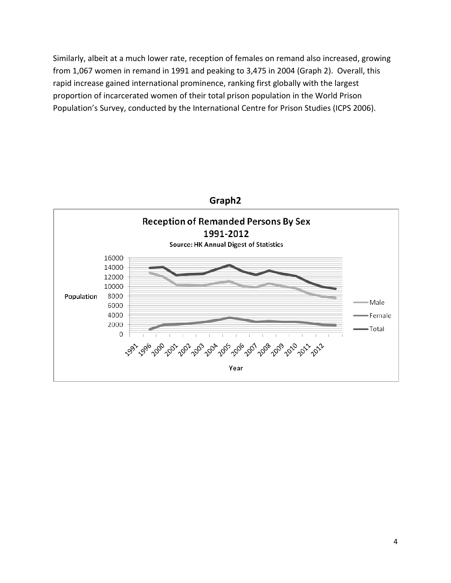Similarly, albeit at a much lower rate, reception of females on remand also increased, growing from 1,067 women in remand in 1991 and peaking to 3,475 in 2004 (Graph 2). Overall, this rapid increase gained international prominence, ranking first globally with the largest proportion of incarcerated women of their total prison population in the World Prison Population's Survey, conducted by the International Centre for Prison Studies (ICPS 2006).

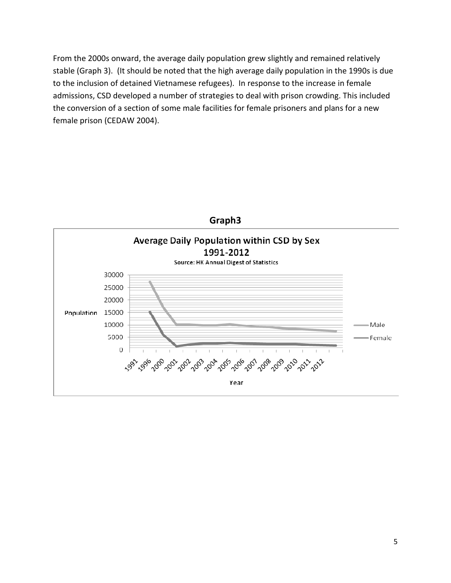From the 2000s onward, the average daily population grew slightly and remained relatively stable (Graph 3). (It should be noted that the high average daily population in the 1990s is due to the inclusion of detained Vietnamese refugees). In response to the increase in female admissions, CSD developed a number of strategies to deal with prison crowding. This included the conversion of a section of some male facilities for female prisoners and plans for a new female prison (CEDAW 2004).

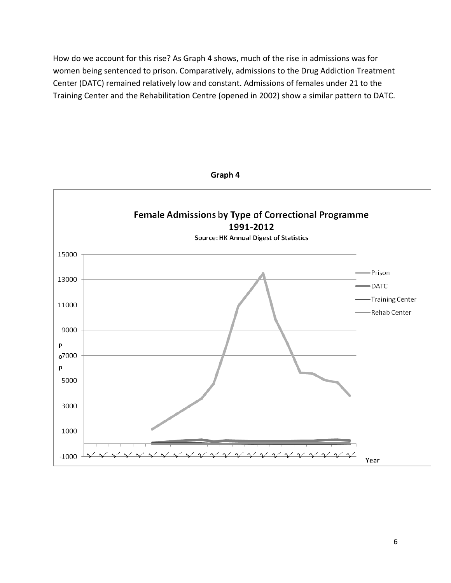How do we account for this rise? As Graph 4 shows, much of the rise in admissions was for women being sentenced to prison. Comparatively, admissions to the Drug Addiction Treatment Center (DATC) remained relatively low and constant. Admissions of females under 21 to the Training Center and the Rehabilitation Centre (opened in 2002) show a similar pattern to DATC.

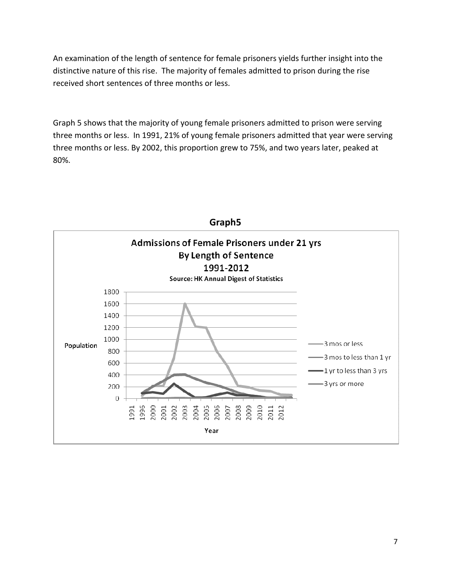An examination of the length of sentence for female prisoners yields further insight into the distinctive nature of this rise. The majority of females admitted to prison during the rise received short sentences of three months or less.

Graph 5 shows that the majority of young female prisoners admitted to prison were serving three months or less. In 1991, 21% of young female prisoners admitted that year were serving three months or less. By 2002, this proportion grew to 75%, and two years later, peaked at 80%.

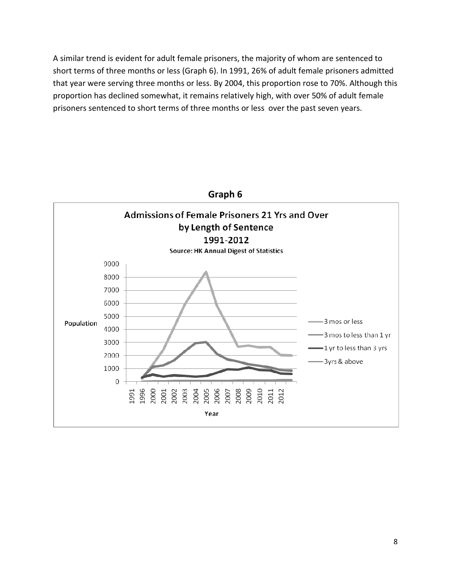A similar trend is evident for adult female prisoners, the majority of whom are sentenced to short terms of three months or less (Graph 6). In 1991, 26% of adult female prisoners admitted that year were serving three months or less. By 2004, this proportion rose to 70%. Although this proportion has declined somewhat, it remains relatively high, with over 50% of adult female prisoners sentenced to short terms of three months or less over the past seven years.

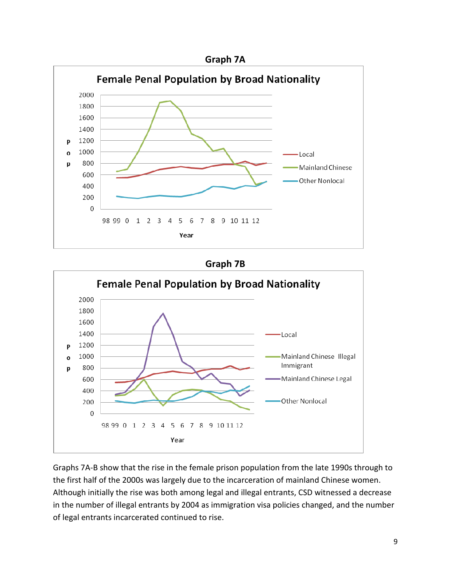

# Graph 7B



Graphs 7A-B show that the rise in the female prison population from the late 1990s through to the first half of the 2000s was largely due to the incarceration of mainland Chinese women. Although initially the rise was both among legal and illegal entrants, CSD witnessed a decrease in the number of illegal entrants by 2004 as immigration visa policies changed, and the number of legal entrants incarcerated continued to rise.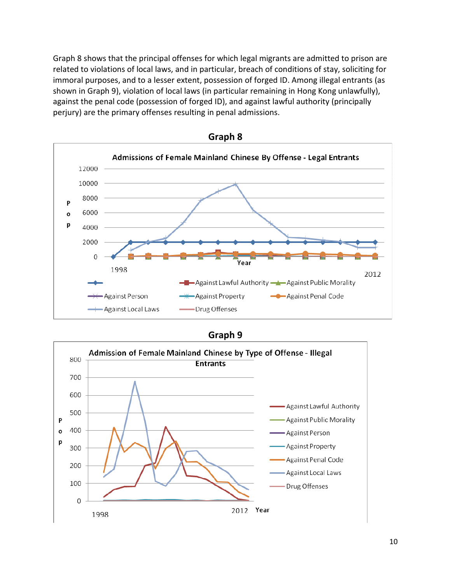Graph 8 shows that the principal offenses for which legal migrants are admitted to prison are related to violations of local laws, and in particular, breach of conditions of stay, soliciting for immoral purposes, and to a lesser extent, possession of forged ID. Among illegal entrants (as shown in Graph 9), violation of local laws (in particular remaining in Hong Kong unlawfully), against the penal code (possession of forged ID), and against lawful authority (principally perjury) are the primary offenses resulting in penal admissions.



Graph 8

Graph 9

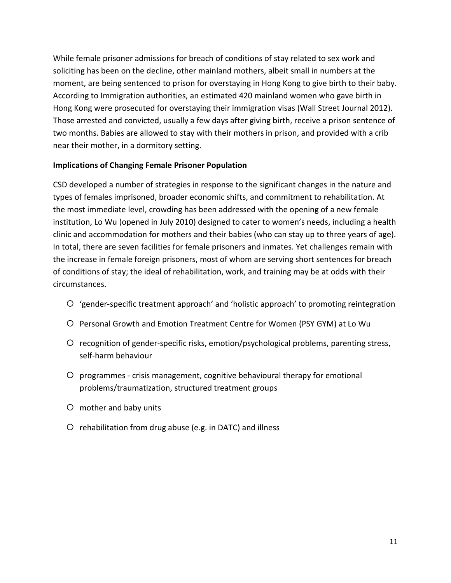While female prisoner admissions for breach of conditions of stay related to sex work and soliciting has been on the decline, other mainland mothers, albeit small in numbers at the moment, are being sentenced to prison for overstaying in Hong Kong to give birth to their baby. According to Immigration authorities, an estimated 420 mainland women who gave birth in Hong Kong were prosecuted for overstaying their immigration visas (Wall Street Journal 2012). Those arrested and convicted, usually a few days after giving birth, receive a prison sentence of two months. Babies are allowed to stay with their mothers in prison, and provided with a crib near their mother, in a dormitory setting.

# Implications of Changing Female Prisoner Population

CSD developed a number of strategies in response to the significant changes in the nature and types of females imprisoned, broader economic shifts, and commitment to rehabilitation. At the most immediate level, crowding has been addressed with the opening of a new female institution, Lo Wu (opened in July 2010) designed to cater to women's needs, including a health clinic and accommodation for mothers and their babies (who can stay up to three years of age). In total, there are seven facilities for female prisoners and inmates. Yet challenges remain with the increase in female foreign prisoners, most of whom are serving short sentences for breach of conditions of stay; the ideal of rehabilitation, work, and training may be at odds with their circumstances.

- 'gender-specific treatment approach' and 'holistic approach' to promoting reintegration
- Personal Growth and Emotion Treatment Centre for Women (PSY GYM) at Lo Wu
- recognition of gender-specific risks, emotion/psychological problems, parenting stress, self-harm behaviour
- programmes crisis management, cognitive behavioural therapy for emotional problems/traumatization, structured treatment groups
- mother and baby units
- $O$  rehabilitation from drug abuse (e.g. in DATC) and illness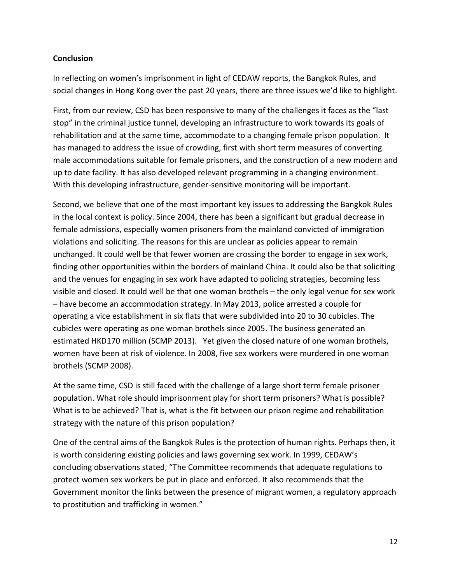# **Conclusion**

In reflecting on women's imprisonment in light of CEDAW reports, the Bangkok Rules, and social changes in Hong Kong over the past 20 years, there are three issues we'd like to highlight.

First, from our review, CSD has been responsive to many of the challenges it faces as the "last stop" in the criminal justice tunnel, developing an infrastructure to work towards its goals of rehabilitation and at the same time, accommodate to a changing female prison population. It has managed to address the issue of crowding, first with short term measures of converting male accommodations suitable for female prisoners, and the construction of a new modern and up to date facility. It has also developed relevant programming in a changing environment. With this developing infrastructure, gender-sensitive monitoring will be important.

Second, we believe that one of the most important key issues to addressing the Bangkok Rules in the local context is policy. Since 2004, there has been a significant but gradual decrease in female admissions, especially women prisoners from the mainland convicted of immigration violations and soliciting. The reasons for this are unclear as policies appear to remain unchanged. It could well be that fewer women are crossing the border to engage in sex work, finding other opportunities within the borders of mainland China. It could also be that soliciting and the venues for engaging in sex work have adapted to policing strategies, becoming less visible and closed. It could well be that one woman brothels – the only legal venue for sex work – have become an accommodation strategy. In May 2013, police arrested a couple for operating a vice establishment in six flats that were subdivided into 20 to 30 cubicles. The cubicles were operating as one woman brothels since 2005. The business generated an estimated HKD170 million (SCMP 2013). Yet given the closed nature of one woman brothels, women have been at risk of violence. In 2008, five sex workers were murdered in one woman brothels (SCMP 2008).

At the same time, CSD is still faced with the challenge of a large short term female prisoner population. What role should imprisonment play for short term prisoners? What is possible? What is to be achieved? That is, what is the fit between our prison regime and rehabilitation strategy with the nature of this prison population?

One of the central aims of the Bangkok Rules is the protection of human rights. Perhaps then, it is worth considering existing policies and laws governing sex work. In 1999, CEDAW's concluding observations stated, "The Committee recommends that adequate regulations to protect women sex workers be put in place and enforced. It also recommends that the Government monitor the links between the presence of migrant women, a regulatory approach to prostitution and trafficking in women."